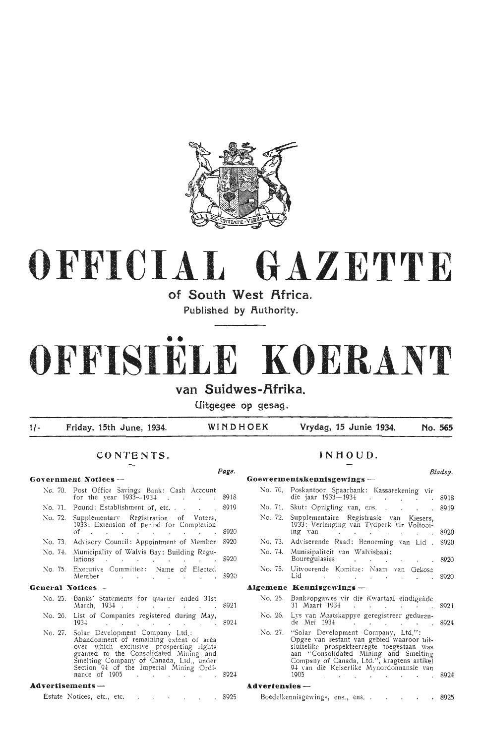

## **OFFICIAL GAZETTE**

of South West Africa.

Published by **Authority**.

# • • **OFFISIELE KOERANT**

## van Suidwes-Afrika.

**Uitgegee op gesag.** 

**<sup>1</sup>**/ • **Friday, 15th June , 1934. WINDHOEK Vrydag, 15 Junie 1934. No. 565** 

**INHOUD.** 

#### **CONTENTS.**

|                   |                                                                                                                                                                                                                                                                             | Page. |                            |                                                                                                                                                                                                                                                                                       | Bladsy. |  |  |  |
|-------------------|-----------------------------------------------------------------------------------------------------------------------------------------------------------------------------------------------------------------------------------------------------------------------------|-------|----------------------------|---------------------------------------------------------------------------------------------------------------------------------------------------------------------------------------------------------------------------------------------------------------------------------------|---------|--|--|--|
|                   | Government Notices --                                                                                                                                                                                                                                                       |       | Goewermentskennisgewings - |                                                                                                                                                                                                                                                                                       |         |  |  |  |
|                   | No. 70. Post Office Savings Bank: Cash Account<br>for the year $1933 - 1934$ 8918                                                                                                                                                                                           |       |                            | No. 70. Poskantoor Spaarbank: Kassarekening vir<br>die jaar 1933–1934 8918                                                                                                                                                                                                            |         |  |  |  |
|                   | No. 71. Pound: Establishment of, etc. $\ldots$ . $\approx$ 8919                                                                                                                                                                                                             |       |                            | No. 71. Skut: Oprigting van, ens. 8919                                                                                                                                                                                                                                                |         |  |  |  |
|                   | No. 72. Supplementary Registration of Voters,<br>1933: Extension of period for Completion<br>of 8920                                                                                                                                                                        |       |                            | No. 72. Supplementaire Registrasie van Kiesers,<br>1933: Verlenging van Tydperk vir Voltooi-<br>ing van die die van die van die van die van die van die van die van die van die van die van die van die van die                                                                       |         |  |  |  |
|                   | No. 73. Advisory Council: Appointment of Member 8920                                                                                                                                                                                                                        |       |                            | No. 73. Adviserende Raad: Benoeming van Lid. 8920                                                                                                                                                                                                                                     |         |  |  |  |
|                   | No. 74. Municipality of Walvis Bay: Building Regu-<br>lations                                                                                                                                                                                                               | \$920 |                            | No. 74. Munisipaliteit van Walvisbaai:<br>Bouregulasies 8920                                                                                                                                                                                                                          |         |  |  |  |
|                   | No. 75. Executive Committee: Name of Elected<br>Member                                                                                                                                                                                                                      | \$920 |                            | No. 75. Uitvoerende Komitee: Naam van Gekose<br>Lid 8920                                                                                                                                                                                                                              |         |  |  |  |
| General Notices - |                                                                                                                                                                                                                                                                             |       |                            | Algemene Kennisgewings-                                                                                                                                                                                                                                                               |         |  |  |  |
|                   | No. 25. Banks' Statements for quarter ended 31st<br>March, 1934 8921                                                                                                                                                                                                        |       |                            | No. 25. Bankeopgawes vir die Kwartaal eindigende<br>31 Maart 1934 8921                                                                                                                                                                                                                |         |  |  |  |
|                   | No. 26. List of Companies registered during May,<br>$1934$ 8924                                                                                                                                                                                                             |       |                            | No. 26. Lys van Maatskappye geregistreer geduren-<br>de Mei 1934 8924                                                                                                                                                                                                                 |         |  |  |  |
| No. 27.           | Solar Development Company Ltd.:<br>Abandonment of remaining extent of area<br>over which exclusive prospecting rights<br>granted to the Consolidated Mining and<br>Smelting Company of Canada, Ltd., under<br>Section 94 of the Imperial Mining Ordi-<br>nance of 1905 8924 |       |                            | No. 27. "Solar Development Company, Ltd.":<br>Opgee van restant van gebied waaroor uit-<br>sluitelike prospekteerregte toegestaan was<br>aan "Consolidated Mining and Smelting<br>Company of Canada, Ltd.", kragtens artikel<br>94 van die Keiserlike Mynordonnansie van<br>1905 8924 |         |  |  |  |
| Advertisements -  |                                                                                                                                                                                                                                                                             |       | $Advertices -$             |                                                                                                                                                                                                                                                                                       |         |  |  |  |
|                   | Estate Notices, etc., etc. 8925                                                                                                                                                                                                                                             |       |                            | Boedelkennisgewings, ens., ens. 8925                                                                                                                                                                                                                                                  |         |  |  |  |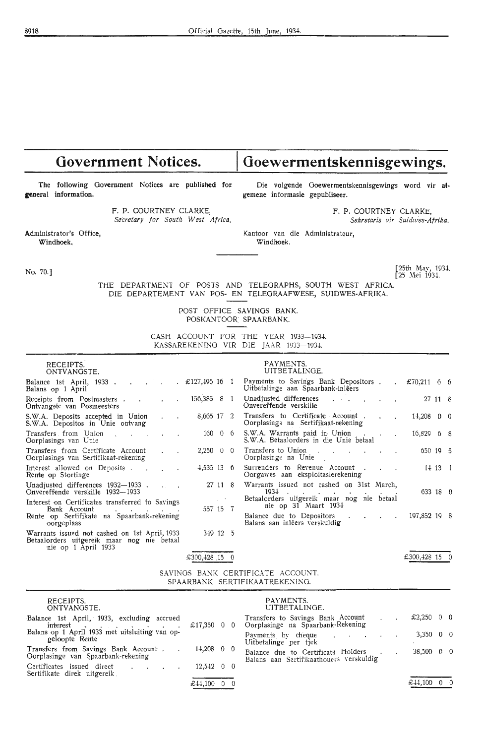## Government Notices. | Goewermentskennisgewings.

The following Government Notices are published for **general** information.

> F. P. COURTNEY CLARKE, *Secretary for South West Africa.*

Administrator's Office, **Windhoek,** 

No. 70.J

Die volgende Goewermentskennisgewings word vir atgemene informasie gepubliseer.

> F. P. COURTNEY CLARKE, *Sekretaris vir Suidwes-Afrika.*

Kantoor van die Administrateur, Windhoek.

> [25th May, 1934. [25 .Mei 1934.

THE DEPARTMENT OF POSTS AND TELEGRAPHS, SOUTH WEST AFRICA. DIE DEPARTEMENT VAN POS- EN TELEGRAAFWESE, SUIDWES-AFRIKA.

> POST OFFICE SAVINGS BANK. POSKANTOOR SPAARBANK.

CASH ACCOUNT FOR THE YEAR 1933-1934. KASSAREKENING VIR DIE JAAR 1933-1934.

| RECEIPTS.<br>ONTVANGSTE.                                                                                                                    |   |
|---------------------------------------------------------------------------------------------------------------------------------------------|---|
| Balance 1st April, 1933 £127,496 16 1<br>Balans op 1 April                                                                                  |   |
| 156,385 8 1<br>Receipts from Postmasters<br>Ontvangste van Posmeesters                                                                      |   |
| 8.005 17 2<br>S.W.A. Deposits accepted in Union<br>S.W.A. Depositos in Unie ontvang                                                         |   |
| 160<br>- 0<br>Transfers from Union<br>6<br>Oorplasings van Unie                                                                             | č |
| Transfers from Certificate Account<br>$2,250 \t 0 \t 0$<br>Oorplasings van Sertifikaat-rekening                                             | Ó |
| $4,535$ 13 6<br>Interest allowed on Deposits<br>Rente op Stortinge                                                                          |   |
| 27 11<br>8<br>Unadjusted differences 1932-1933.<br>Onvereffende verskille 1932-1933                                                         |   |
| Interest on Certificates transferred to Savings<br>$557$ 15 $7$<br>Bank Account<br>Rente op Sertifikate na Spaarbank-rekening<br>oorgeplaas |   |
| Warrants issued not cashed on 1st April, 1933<br>349 12 5<br>Betaalorders uitgereik maar nog nie betaal<br>nie op 1 April 1933              |   |

#### **PAYMENTS.**

|                                             | UITBETALINGE.                                                                           |              |         |  |
|---------------------------------------------|-----------------------------------------------------------------------------------------|--------------|---------|--|
| £127,496 16 1                               | Payments to Savings Bank Depositors<br>Uitbetalinge aan Spaarbank-inlêers               | £70,211 6 6  |         |  |
| 156,385 8 1                                 | Unadjusted differences<br>Onvereffende verskille                                        |              | 27 11 8 |  |
| 8,065 17<br>$\overline{2}$                  | Transfers to Certificate Account.<br>Oorplasings na Sertifikaat-rekening                | $14,208$ 0 0 |         |  |
| $160 \t 0$<br>- 6 -                         | S.W.A. Warrants paid in Union<br>S.W.A. Betaalorders in die Unie betaal                 | $16,829$ 6 8 |         |  |
| $2,250 \quad 0$<br>$\overline{\phantom{0}}$ | Transfers to Union<br>and the contract of<br>and the contract of<br>Oorplasinge na Unie | $650$ 19 $5$ |         |  |
| $4,535$ 13 6                                | Surrenders to Revenue Account.<br>Oorgawes aan eksploitasierekening                     | 14 13 1      |         |  |
| 27 11<br>-8                                 | Warrants issued not cashed on 31st March,<br>$1934$                                     | 633 18 0     |         |  |
| 557 15 7                                    | Betaalorders uitgereik maar nog nie betaal<br>nie op 31 Maart 1934                      |              |         |  |
|                                             | Balance due to Depositors<br>Balans aan inlêers verskuldig                              | 197,852 19 8 |         |  |

 $\overline{£300,428}$  15 0

SAVINGS BANK CERTIFICATE ACCOUNT. SPAARBANK SERTIFIKAATREKENING.

£300,428 15 0

| RECEIPTS.<br>ONTVANGSTE.                                                   |                          | PAYMENTS.<br>UITBETALINGE.                                                    |                          |  |
|----------------------------------------------------------------------------|--------------------------|-------------------------------------------------------------------------------|--------------------------|--|
| Balance 1st April, 1933, excluding accrued                                 | £17,350 0 0              | Transfers to Savings Bank Account<br>Oorplasinge na Spaarbank Rekening        | £2,250 $0$ 0             |  |
| Balans op 1 April 1933 met uitsluiting van op-<br>geloopte Rente           |                          | Payments by cheque<br>Uitbetalinge per tiek                                   | $3,350 \quad 0 \quad 0$  |  |
| Transfers from Savings Bank Account.<br>Oorplasinge van Spaarbank-rekening | $14,208$ 0 0             | Balance due to Certificate Holders<br>Balans aan Sertifikaathouers verskuldig | $38,500 \quad 0 \quad 0$ |  |
| Certificates issued direct<br>Sertifikate direk uitgereik                  | $12,542 \quad 0 \quad 0$ |                                                                               |                          |  |
|                                                                            | £44,100 0 0              |                                                                               | £44,100 0 0              |  |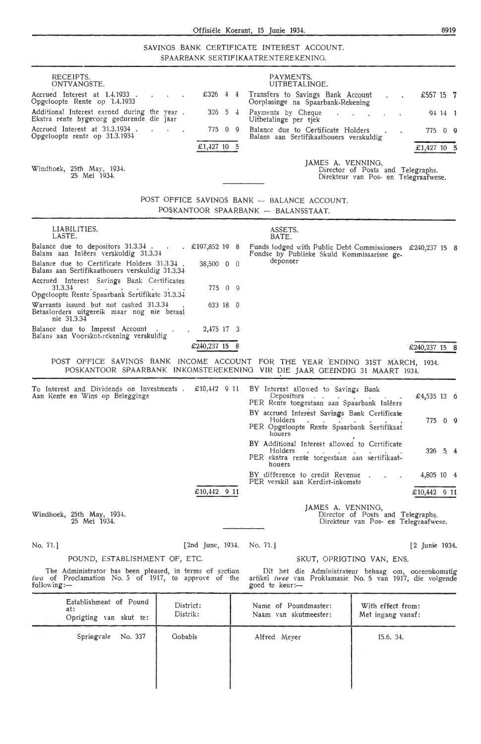SAVINGS BANK CERTIFICATE INTEREST ACCOUNT. SPAARBANK SERTIFIKAATRENTEREKENINO.

| RECEIPTS.<br>ONTVANGSTE.                                                                                                                       |                                  | PAYMENTS.<br>UITBETALINGE.                                                                                                                                  |                                                                                                                         |
|------------------------------------------------------------------------------------------------------------------------------------------------|----------------------------------|-------------------------------------------------------------------------------------------------------------------------------------------------------------|-------------------------------------------------------------------------------------------------------------------------|
| Accrued Interest at 1.4.1933.<br>×.<br>Opgeloopte Rente op 1.4.1933                                                                            | £326 $\frac{1}{4}$ $\frac{1}{4}$ | Transfers to Savings Bank Account<br>Oorplasinge na Spaarbank-Rekening                                                                                      | £557 15 $\,$ 7                                                                                                          |
| Additional Interest earned during the year.<br>Ekstra rente bygevoeg gedurende die jaar                                                        | $5 \frac{1}{2}$<br>326           | Payments by Cheque<br>Uitbetalinge per tjek                                                                                                                 | 94 14 1<br>and the control of                                                                                           |
| Accrued Interest at 31.3.1934.<br>Opgeloopte rente op 31.3.1934                                                                                | 77509                            | Balance due to Certificate Holders                                                                                                                          | 77509                                                                                                                   |
|                                                                                                                                                | £1,427 10 5                      | Balans aan Sertifikaathouers verskuldig                                                                                                                     | £1,427 10 5                                                                                                             |
| Windhoek, 25th May, 1934.<br>25 Mei 1934.                                                                                                      |                                  | JAMES A. VENNING,                                                                                                                                           | Director of Posts and Telegraphs.<br>Direkteur van Pos- en Telegraafwese.                                               |
|                                                                                                                                                |                                  | POST OFFICE SAVINGS BANK - BALANCE ACCOUNT.                                                                                                                 |                                                                                                                         |
|                                                                                                                                                |                                  | POSKANTOOR SPAARBANK - BALANSSTAAT.                                                                                                                         |                                                                                                                         |
| LIABILITIES.<br>LASTE.                                                                                                                         |                                  | ASSETS.<br>BATE.                                                                                                                                            |                                                                                                                         |
| Balance due to depositors 31.3.34 £197,852 19 8<br>Balans aan Inlêers verskuldig 31.3.34                                                       |                                  | Fondse by Publieke Skuld Kommissarisse ge-<br>deponeer                                                                                                      | Funds lodged with Public Debt Commissioners £240,237 15 8                                                               |
| Balance due to Certificate Holders 31.3.34.<br>Balans aan Sertifikaathouers verskuldig 31.3.34                                                 | 38,500 0 0                       |                                                                                                                                                             |                                                                                                                         |
| Accrued Interest Savings Bank Certificates<br>31,3,34<br>and the contract of the contract of<br>Opgeloopte Rente Spaarbank Sertifikate 31.3.34 | 775 0 9                          |                                                                                                                                                             |                                                                                                                         |
| Warrants issued but not cashed 31.3.34<br>Betaalorders uitgereik maar nog nie betaal<br>nie 31.3.34                                            | 633 18 0                         |                                                                                                                                                             |                                                                                                                         |
| Balance due to Imprest Account<br>Balans aan Voorskot-rekening verskuldig                                                                      | 2,475 17 3                       |                                                                                                                                                             |                                                                                                                         |
|                                                                                                                                                | £240,237 15 8                    |                                                                                                                                                             | £240,237 15 8                                                                                                           |
|                                                                                                                                                |                                  | POST OFFICE SAVINGS BANK INCOME ACCOUNT FOR THE YEAR ENDING 31ST MARCH, 1934.<br>POSKANTOOR SPAARBANK INKOMSTEREKENING VIR DIE JAAR GEËINDIG 31 MAART 1934. |                                                                                                                         |
| To Interest and Dividends on Investments.                                                                                                      | £10,442 $9$ 11                   | BY Interest allowed to Savings Bank                                                                                                                         |                                                                                                                         |
| Aan Rente en Wins op Belegginge                                                                                                                |                                  | Depositors<br>$\mathcal{A}=\mathcal{A}$ .<br>PER Rente toegestaan aan Spaarbank Inlêers                                                                     | $£4,535$ 13 6                                                                                                           |
|                                                                                                                                                |                                  | BY accrued Interest Savings Bank Certificate<br>Holders<br>PER Opgeloopte Rente Spaarbank Sertifikaat                                                       | 775 0 9                                                                                                                 |
|                                                                                                                                                |                                  | houers<br>BY Additional Interest allowed to Certificate<br>Holders                                                                                          |                                                                                                                         |
|                                                                                                                                                |                                  | PER ekstra rente toegestaan aan sertifikaat-<br>houers                                                                                                      | $326 \quad 5 \quad 4$                                                                                                   |
|                                                                                                                                                |                                  | BY difference to credit Revenue<br>PER verskil aan Kerdiet-inkomste                                                                                         | 4,805 10 4                                                                                                              |
|                                                                                                                                                | £10,442 9 11                     |                                                                                                                                                             | £10,442 9 11                                                                                                            |
| Windhoek, 25th May, 1934.<br>25 Mei 1934.                                                                                                      |                                  | JAMES A. VENNING,                                                                                                                                           | Director of Posts and Telegraphs.<br>Direkteur van Pos- en Telegraafwese.                                               |
| No. 71.]                                                                                                                                       | [2nd June, $1934.$ No. 71.]      |                                                                                                                                                             | [2 Junie 1934.                                                                                                          |
| POUND, ESTABLISHMENT OF, ETC.                                                                                                                  |                                  |                                                                                                                                                             | SKUT, OPRIGTING VAN, ENS.                                                                                               |
| The Administrator has been pleased, in terms of section<br>two of Proclamation No. 5 of 1917, to approve of the<br>following: $-$              |                                  | goed te keur:-                                                                                                                                              | Dit het die Administrateur behaag om, ooreenkomstig<br>artikel <i>twee</i> van Proklamasie No. 5 van 1917, die volgende |
| Establishment of Pound                                                                                                                         | District:                        | Name of Poundmaster:                                                                                                                                        | With effect from:                                                                                                       |
| at:<br>Oprigting van skut te:                                                                                                                  | Distrik:                         | Naam van skutmeester:                                                                                                                                       | Met ingang vanaf:                                                                                                       |
| Springvale<br>No. 337                                                                                                                          | Gobabis                          | Alfred Meyer                                                                                                                                                | 15.6. 34.                                                                                                               |
|                                                                                                                                                |                                  |                                                                                                                                                             |                                                                                                                         |
|                                                                                                                                                |                                  |                                                                                                                                                             |                                                                                                                         |
|                                                                                                                                                |                                  |                                                                                                                                                             |                                                                                                                         |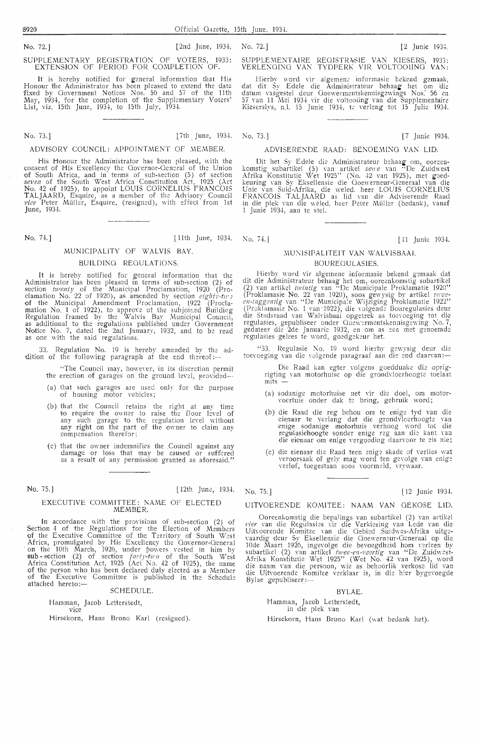#### SUPPLEMENTARY REGISTRATION OF VOTERS, 1933: EXTENSION OF PERIOD FOR COMPLETION OF.

It is hereby notified for general information that His Honour the Administrator has been pleased to extend the date fixed by Government Notices Nos. 56 and 57 of the 11th May, 1934, for the completion of the Supplementary Voters' List, viz. 15th June, 1934-, to 15th July, 1934-.

#### No. 73.] [7th. June, 1934. No. 73.] [7 Junie 1934.

#### ADVISORY COUNCIL: APPOINTMENT OF MEMBER.

His Honour the Administrator has been pleased, with the consent of His Excellency the Governor-General of the Union<br>of South Africa, and in terms of sub-section (5) of section *seven* of the South West Africa Constitution Act, 1925 (Act No. 42 of 1925), to appoint LOUIS CORNELIUS FRANCOIS TALJAARD, Esquire, as a member of the Advisory Council *vice* Peter Muller, Esquire, (resigned), with effect from 1st June, 1934.

## BUILDING REGULATIONS.

It is hereby notified for general information that the Administrator has been pleased in terms of sub-section (2) of section *twenty* of the Municipal Proclamation, 1920 (Proclamation No. 22 of 1920), as amended by section *eighty-two* of the Municipal Amendment Proclamation, 1922 (Procla-<br>mation No. 1 of 1922), to approve of the subjoined Building Regulation framed by *the* \ValYis Bay Nlunicipal Council, as additional to the regulations published under Oonrnment Notice No. 7, dated the 2nd January, 1932, and to be read as one with the said regulations.

33. Regulation No. 19 is hereby amended by the addition of the following paragraph at the end thereof:-

- "The Council may, however, in its discretion permit the erection of garages on the ground level, provided--
- (a) that such garages are used only for the purpose of housing motor yehicles;
- (b) that the Council retains the right at any time to require the owner to raise the floor level of<br>any such garage to the regulation level without any right on the part of the owner to claim any compensation therefor;
- ( c) that the owner indemnifies the Council against any damage or loss that may be caused or suffered as a result of any permission granted as aforesaid."

No. 75.] [12th June, 1934. No. 75.] [ 12 Junie 1934.

#### EXECUTIVE COMMITTEE: NAME OF ELECTED MEMBER.

In accordance with the provisions of sub-section (2) of Section 4 of the Regulations for the Election of Members<br>of the Executive Committee of the Territory of South West Africa, promulgated by His Excellency the Governor-General on the 10th March, 1926, under powers vested in him by **sub**-section (2) of section *forty-two* of the South West Africa Constitution Act, 1925 (Act No. 42 of 1925), the name<br>of the person who has been declared duly elected as a Member of the Executive Committee is published in the Schedule attached hereto:-

#### SCHEDULE.

Hamman, Jacob Letterstedt, vice

Hirsekorn, Hans Bruno Karl (resigned).

#### No. 72.] [2] Junie 1934. No. 72.] [2. [2] Junie 1934. SUPPLEMENTARY REGISTRATION OF VOTERS, 1933: SUPPLEMENTAIRE REGISTRASIE VAN KIESERS, 1933:<br>SUPPLEMENTARY REGISTRATION OF VOTERS, 1933: SUPPLEMENTAIRE REGISTRASIE VAN KIE SUPPLEMENTAIRE REGISTRASIE VAN KIESERS, 1933: VERLENGING VAN TYDPERK VIR VOLTOOIING VAN:

Hierby \\"Ord ,·ir algemene informasie bekend gemaak, dat dit Sy Edele die Administrateur behaag het om die datum vasgestel deur Goewermentskennisgewings Nos: 56 en<br>57 van 11 Mei 1934 vir die voltooiing van die Supplementaire Kieserslys, n.l. 15 Junie 1934, te verleng tot 15 Julie 1934.

#### ADVISERENDE RAAD: BENOEMING VAN LID.

Dit het Sy Edele die Administrateur behaag om, ooreen-<br>stig subartikel (5) van artikel *sewe* van "De Zuidwest Afrika Konstitutie Wet 1925" (No. 42 van 1925), met goed-<br>keuring van Sy Eksellensie die Goewerneur-Generaal van die<br>Unie van Suid-Afrika, die weled. heer LOUIS CORNELIUS FRANCOIS TALJAARD as lid van die Adviserende Raad in die plek van die weled. heer Peter Müller (bedank), vanaf 1 Junie 1934, aan te stel.

No. 74.] [11th June, 1934. No. 74.] [ 11 Junie 1934.

## MUNICIPALITY OF WALVIS BAY.  $\blacksquare$  MUNISIPALITEIT VAN WALVISBAAI.

#### BOUREGULASIES.

Hierby word vir algemene informasie bekend gemaak dat dit die Administrateur behaag het om, oorecnkomstig subartikd (2) Yan artikel *t1vintig* \'an "De Municipale Proklamatie 1920" (Proklamasie No. 22 van 1920), soos gewysig by artikel twee-<br>en-taggentig van "De Municipale Wijziging Proklamatie 1922"<br>(Proklamasie No. 1 van 1922), die volgende Bouregulasies deur<br>die Stadsraad van Walvisbaai opgetrek a regulasies, gepubliseer onder Goewermentskennisgewing No. 7, gedateer die 2de Januarie 1932, en om as een met genoemde regulasies gelees te word, goedgekeur het.

"33. Regulasie No. 19 word hierby gewysig deur die toevoeging van die volgende paragraaf aan die end daarvan:

Die Raad kan egter volgens goeddunke die oprig-<br>rigting van motorhuise op die grondvloerhoogte toelaat  $\overline{\text{mits}}$ 

- (a) sodanige motorhuise net Yir die doe!, om motor- \'oertuie onder dak te bring, gebruik word;
- (b) die Raad die reg behou om te enige tyd van die<br>
eienaar te verlang dat die grondvkeerhoogte van<br>
enige sodanige motorhuis verhoog word tot die regulasiehoogte sonder enige reg aan die kant van die eienaar om enige vergoeding daarvoor te eis nie;
- ( c) die eienaar die Raad teen cnige skade of verlies wat veroorsaak of gely mag word ten gevolge van enige verlof, toegestaan soos voormeld, vrywaar.

#### UITVOERENDE KOM!TEE: NAAM VAN GEKOSE LID.

Ooreenkomstig die bepalings Yan subartikel (2) van artikcl vier van die Regulasies vir die Verkiesing van Lede van die Uitvoerende Komitee van die Gebied Suidwes-Afrika uitgevaardig deur Sy Eksellensie die Goewerneur-Generaal op die 10de Maart 1926, ingevolge die bevoegdheid hom verleen by subartikel (2) van artikel *twee-en-veertig* van "De Zuidwest-Afrika Konstitutie Wet 1925" (Wet No. 42 van 1925), word die naam van die persoon, wie as behoorlik verkose lid van die Uitvoerende Komitee verklaar is, in die hier bygevoegde<br>Bylae gepubliseer:—

#### BYLAE.

Hamman, Jacob Letterstedt, in die plek van

Hirsekorn, Hans Bruno Karl (wat bedank het).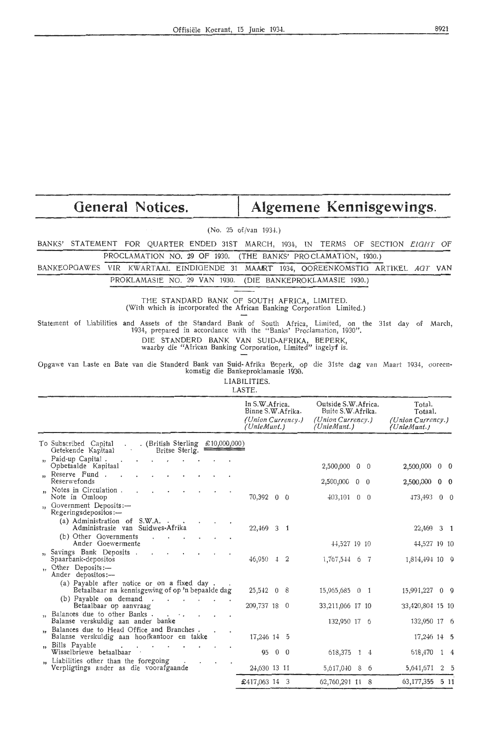| General Notices.                                                                                                                                                                                                                                                                                  |                                                                         | Algemene Kennisgewings.                                                      |                                                       |  |
|---------------------------------------------------------------------------------------------------------------------------------------------------------------------------------------------------------------------------------------------------------------------------------------------------|-------------------------------------------------------------------------|------------------------------------------------------------------------------|-------------------------------------------------------|--|
|                                                                                                                                                                                                                                                                                                   | (No. 25 of/van 1934.)                                                   |                                                                              |                                                       |  |
| BANKS' STATEMENT FOR QUARTER ENDED 31ST MARCH, 1934, IN TERMS OF SECTION EIGHT OF                                                                                                                                                                                                                 |                                                                         |                                                                              |                                                       |  |
| PROCLAMATION NO. 29 OF 1930.                                                                                                                                                                                                                                                                      | (THE BANKS' PROCLAMATION, 1930.)                                        |                                                                              |                                                       |  |
| BANKEOPGAWES<br>VIR KWARTAAL EINDIGENDE 31 MAART 1934, OOREENKOMSTIG ARTIKEL AGT VAN                                                                                                                                                                                                              |                                                                         |                                                                              |                                                       |  |
| PROKLAMASIE NO. 29 VAN 1930.                                                                                                                                                                                                                                                                      | (DIE BANKEPROKLAMASIE 1930.)                                            |                                                                              |                                                       |  |
| THE STANDARD BANK OF SOUTH AFRICA, LIMITED.<br>(With which is incorporated the African Banking Corporation Limited.)                                                                                                                                                                              |                                                                         |                                                                              |                                                       |  |
| Statement of Liabilities and Assets of the Standard Bank of South Africa, Limited, on the 31st day of March,<br>1934, prepared in accordance with the "Banks' Proclamation, 1930".<br>DIE STANDERD BANK VAN SUID-AFRIKA, BEPERK,<br>waarby die "African Banking Corporation, Limited" ingelyf is. |                                                                         |                                                                              |                                                       |  |
| Opgawe van Laste en Bate van die Standerd Bank van Suid-Afrika Beperk, op die 31ste dag van Maart 1934, ooreen-                                                                                                                                                                                   | komstig die Bankeproklamasie 1930.<br>LIABILITIES.<br>LASTE.            |                                                                              |                                                       |  |
|                                                                                                                                                                                                                                                                                                   | In S.W.Africa.<br>Binne S.W.Afrika.<br>(Union Currency.)<br>(UnieMunt.) | Outside S.W.Africa.<br>Buite S.W.Afrika.<br>(Union Currency.)<br>(UnieMunt.) | Total.<br>Totaal.<br>(Union Currency.)<br>(UnieMunt.) |  |
| . (British Sterling £10,000,000)<br>To Subscribed Capital<br>Britse Sterlg.<br>Getekende Kapitaal                                                                                                                                                                                                 |                                                                         |                                                                              |                                                       |  |
| Paid-up Capital.<br>$\overline{\mathbf{y}}$<br>Opbetaalde Kapitaal                                                                                                                                                                                                                                |                                                                         | $2,500,000$ 0 0                                                              | $2,500,000$ 0 0                                       |  |
| Reserve Fund.<br>Reserwefonds                                                                                                                                                                                                                                                                     |                                                                         | 2,500,000 0 0                                                                | 2,500,000 0 0                                         |  |
| Notes in Circulation.<br>Note in Omloop                                                                                                                                                                                                                                                           | 70,392 0 0                                                              | $403,101$ 0 0                                                                | 473,493 0 0                                           |  |
| Government Deposits:-<br>$\overline{\mathbf{1}}$<br>Regeringsdepositos:-                                                                                                                                                                                                                          |                                                                         |                                                                              |                                                       |  |
| (a) Administration of S.W.A. .<br>Administrasie van Suidwes-Afrika                                                                                                                                                                                                                                | 22,469 3 1                                                              |                                                                              | 22,469 3 1                                            |  |
| (b) Other Governments<br>Ander Goewermente                                                                                                                                                                                                                                                        |                                                                         | 44,527 19 10                                                                 | 44,527 19 10                                          |  |
| Savings Bank Deposits.<br>Spaarbank-depositos                                                                                                                                                                                                                                                     | $46,950$ $4$ 2                                                          |                                                                              |                                                       |  |
| Other Deposits:-<br>$\overline{1}$<br>Ander depositos:-                                                                                                                                                                                                                                           |                                                                         | 1,767,544 6 7                                                                | 1,814,494 10 9                                        |  |
| (a) Payable after notice or on a fixed day.<br>Betaalbaar na kennisgewing of op 'n bepaalde dag                                                                                                                                                                                                   | $25,542 \quad 0 \quad 8$                                                | $15,965,685$ 0 1                                                             | $15,991,227$ 0 9                                      |  |
| (b) Payable on demand.<br>$\sim$ 100 $\pm$<br>and the con-<br>Betaalbaar op aanvraag                                                                                                                                                                                                              | 209,737 18 0                                                            | 33,211,066 17 10                                                             | 33,420,804 15 10                                      |  |
| Balances due to other Banks.<br>Balanse verskuldig aan ander banke                                                                                                                                                                                                                                |                                                                         | 132,950 17 6                                                                 | 132,950 17 6                                          |  |
| Balances due to Head Office and Branches.<br>Balanse verskuldig aan hoofkantoor en takke                                                                                                                                                                                                          | $17,246$ $14$ 5                                                         |                                                                              | 17,246 14 5                                           |  |
| Bills Payable<br>,,<br>Wisselbriewe betaalbaar                                                                                                                                                                                                                                                    | 95 0 0                                                                  | 618,375 1 4                                                                  | 618,470 1 4                                           |  |
| Liabilities other than the foregoing<br>Verpligtings ander as die voorafgaande                                                                                                                                                                                                                    | 24,630 13 11                                                            | 5,617,040 8 6                                                                | 5, 641, 671 2 5                                       |  |

2-t,630 13 11 £417,063 14 3

5,617,0-10 8 6 62,760,291 11 8

5,641,671 2 5 63,177,355 5 11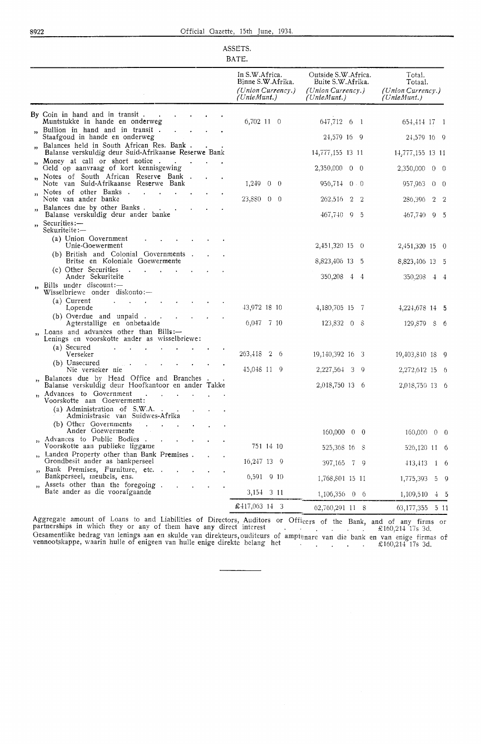| SSET   |  |
|--------|--|
| υ<br>А |  |

|                                                                                                           | In S.W.Africa.<br>Binne S.W.Afrika.<br>(Union Currency.)<br>(UnieMunt.) | Outside S.W.Africa.<br>Buite S.W.Afrika.<br>(Union Currency.)<br>(UnieMunt.) | Total.<br>Totaal.<br>(Union Currency.)<br>(UnieMunt.) |
|-----------------------------------------------------------------------------------------------------------|-------------------------------------------------------------------------|------------------------------------------------------------------------------|-------------------------------------------------------|
| By Coin in hand and in transit.<br>Muntstukke in hande en onderweg                                        | 6,702 11 0                                                              | 647,712 6 1                                                                  | 654,414 17 1                                          |
| Bullion in hand and in transit.<br>$\mathbf{v}$<br>Staafgoud in hande en onderweg                         |                                                                         | 24,579 16 9                                                                  | 24,579 16 9                                           |
| Balances held in South African Res. Bank.<br>Balanse verskuldig deur Suid-Afrikaanse Reserwe Bank         |                                                                         | 14,777,155 13 11                                                             | 14,777,155 13 11                                      |
| Money at call or short notice.<br>55.<br>Geld op aanvraag of kort kennisgewing                            |                                                                         | 2,350,000 0 0                                                                | 2,350,000 0 0                                         |
| Notes of South African Reserve Bank.<br>Note van Suid-Afrikaanse Reserwe Bank                             | $1,249$ 0 0                                                             | $956,714$ 0 0                                                                | 957,963<br>$0\quad 0$                                 |
| Notes of other Banks<br>$\mathbf{a}$<br>Note van ander banke                                              | 23,880 0 0                                                              | 262,516<br>2 2                                                               | 286,396<br>$2\quad 2$                                 |
| ", Balances due by other Banks<br>Balanse verskuldig deur ander banke                                     |                                                                         | 467,740 9 5                                                                  | $467,740$ 9 5                                         |
| Securities:-<br>$\mathbf{H}$<br>Sekuriteite:-                                                             |                                                                         |                                                                              |                                                       |
| (a) Union Government<br>Unie-Goewerment                                                                   |                                                                         | 2,451,320 15 0                                                               | 2,451,320 15 0                                        |
| (b) British and Colonial Governments.<br>Britse en Koloniale Goewermente                                  |                                                                         | 8,823,406 13 5                                                               | 8,823,406 13 5                                        |
| (c) Other Securities<br>$\sim 10^{-10}$ m $^{-1}$<br><b>All Control</b><br>Ander Sekuriteite              |                                                                         | 350,208 4 4                                                                  | $350,208$ 4 4                                         |
| Bills under discount: $-$<br>$\mathbf{r}$<br>Wisselbriewe onder diskonto:-                                |                                                                         |                                                                              |                                                       |
| (a) Current<br>Lopende                                                                                    | 43,972 18 10                                                            | 4,180,705 15 7                                                               | 4,224,678 14 5                                        |
| (b) Overdue and unpaid.<br>Agterstallige en onbetaalde                                                    | 6,047 7 10                                                              | 123,832 0 8                                                                  | 129,879 8 6                                           |
| Loans and advances other than Bills:-<br>55<br>Lenings en voorskotte ander as wisselbriewe:               |                                                                         |                                                                              |                                                       |
| (a) Secured<br>Verseker                                                                                   | 263,418 2 6                                                             | 19, 140, 392 16 3                                                            | 19,403,810 18 9                                       |
| (b) Unsecured<br>$\omega_{\rm eff} = 40$<br>Nie verseker nie                                              | 45,048 11 9                                                             | 2,227,564 3<br>-9                                                            | 2,272,612 15 6                                        |
| Balances due by Head Office and Branches.<br>Balanse verskuldig deur Hoofkantoor en ander Takke           |                                                                         | 2,018,750 13 6                                                               | 2,018,750 13 6                                        |
| Advances to Government<br>$\sim$<br>$\mathbf{r}$<br>$\overline{\mathbf{1}}$<br>Voorskotte aan Goewerment: |                                                                         |                                                                              |                                                       |
| (a) Administration of S.W.A.<br>Administrasie van Suidwes-Afrika                                          |                                                                         |                                                                              |                                                       |
| (b) Other Governments<br>Ander Goewermente                                                                |                                                                         | $160,000 \quad 0 \quad 0$                                                    | $160,000 \quad 0 \quad 0$                             |
| Advances to Public Bodies.<br>Voorskotte aan publieke liggame                                             | 751 14 10                                                               | 525,368 16 8                                                                 | 526,120 11 6                                          |
| Landed Property other than Bank Premises.<br>$\overline{\mathbf{3}}$<br>Grondbesit ander as bankperseel   | 16,247 13 9                                                             | 397,165 7 9                                                                  | 413,413<br>1 6                                        |
| Bank Premises, Furniture, etc. .<br>,<br>Bankperseel, meubels, ens.                                       | 6,591 9 10                                                              | 1,768,801 15 11                                                              | 1,775,393<br>$5 \quad 9$                              |
| Assets other than the foregoing.<br>Bate ander as die voorafgaande                                        | 3,154 3 11                                                              | $1,106,356 \quad 0 \quad 6$                                                  | 1,109,510<br>$\pm$ 5                                  |
|                                                                                                           | £417,063 14 3                                                           | 62,760,291 11 8                                                              | 63,177,355<br>511                                     |

Aggregate amount of Loans to and Liabilities of Directors, Auditors or Officers of the Bank,<br>partnerships in which they or any of them have any direct interest Gesamentlike bedrag van lenings aan en skulde van direkteurs,ouditeurs of amptenare van die bank<br>vennootskappe, waarin hulle of enigeen van hulle enige direkte belang het and of any firms or  $£160,214$   $17s$   $3d$ . en van enige firmas of £160,214 17s 3d.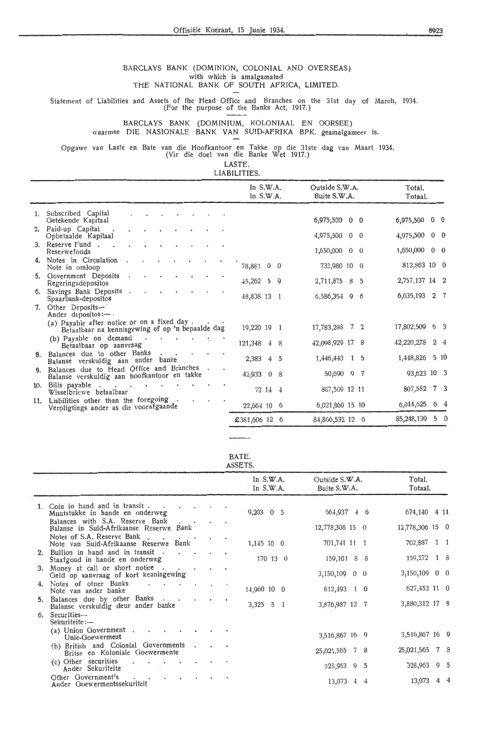#### BARCLAYS BANK (DOMINION, COLONIAL AND OVERSEAS) with which is amalgamated THE NATIONAL BANK OF SOUTH AFRICA, LIMITED.

Statement of Liabilities and Assets of the Head Office and Branches on the 31st day of March, 1934.<br>(For the purpose of the Banks Act, 1917.)

#### BARCLAYS BANK (DOMINIUM, KOLONIAAL EN OORSEE) \\'aarmee DIE NASIONALE BANK VAN SUID-AFRIKA BPK. geamalgameer is.

Opgawe van Laste en Bate van die Hoofkantoor en Takke op die 31ste dag van Maart 1934. (Vir die doe! van die Banke Wet 1917.)

LASTE.

|  | LIABILITIES. |  |
|--|--------------|--|
|  |              |  |

|     |                                                                                                 |  | In $S.W.A.$<br>In $S.W.A.$ |         |             | Outside S.W.A.<br>Buite S.W.A. |  | Total.<br>Totaal. |                |
|-----|-------------------------------------------------------------------------------------------------|--|----------------------------|---------|-------------|--------------------------------|--|-------------------|----------------|
|     | 1. Subscribed Capital<br>Getekende Kapitaal                                                     |  |                            |         |             | 6,975,500 0 0                  |  | 6,975,500 0 0     |                |
|     | 2. Paid-up Capital<br>Opbetaalde Kapitaal                                                       |  |                            |         |             | 4,975,500 0 0                  |  | $4,975,500$ 0 0   |                |
|     | 3. Reserve Fund.<br>Reserwefonds                                                                |  |                            |         |             | 1,650,000 0 0                  |  | $1,650,000$ 0 0   |                |
|     | 4. Notes in Circulation<br>Note in omloop                                                       |  | 78,883 0 0                 |         |             | 733,980 10 0                   |  | 812,863 10 0      |                |
|     | 5. Government Deposits<br>Regeringsdepositos                                                    |  | $\frac{15,262}{5}$         |         | $\mathbf Q$ | 2,711,875 8 5                  |  | 2,757,137 14 2    |                |
| 6.  | Savings Bank Deposits.<br>Spaarbank-depositos                                                   |  | 48,838 13 1                |         |             | 6,586,354 9 6                  |  | 6,635,193 2 7     |                |
| 7.  | Other Deposits-<br>Ander depositions: $\leftarrow$ .                                            |  |                            |         |             |                                |  |                   |                |
|     | (a) Payable after notice or on a fixed day.<br>Betaalbaar na kennisgewing of op 'n bepaalde dag |  | 19,220 19 1                |         |             | 17,783,288 7 2                 |  | 17,802,509 6 3    |                |
|     | (b) Payable on demand<br>Betaalbaar op aanvraag                                                 |  | 121,348 4 8                |         |             | 42,098,929 17 8                |  | 42,220,278        | 2 <sub>4</sub> |
|     | Balances due to other Banks<br>Balanse verskuldig aan ander banke                               |  | 2,383 4 5                  |         |             | 1,446,443 1 5                  |  | 1,448,826         | 510            |
| 9.  | Balances due to Head Office and Branches<br>Balanse verskuldig aan hoofkantoor en takke         |  | 42,933 0 8                 |         |             | 50,690 9 7                     |  | 93,623 10 3       |                |
| 10. | Bills payable<br>Wisselbriewe betaalbaar                                                        |  |                            | 72 14 4 |             | 807,509 12 11                  |  | 807,582 7 3       |                |
| 11. | Liabilities other than the foregoing<br>Verpligtings ander as die voorafgaande                  |  | 22,664 10 6                |         |             | 6,021,960 15 10                |  | 6,044,625         | 64             |
|     |                                                                                                 |  | £381,606 12 6              |         |             | 84,866,532 12 6                |  | 85,248,139        | 5 <sub>0</sub> |

BATE. ASSETS.

|                                                                                                      |                      |  |                          | $\cdots$                   |                                |  |                   |  |
|------------------------------------------------------------------------------------------------------|----------------------|--|--------------------------|----------------------------|--------------------------------|--|-------------------|--|
|                                                                                                      |                      |  |                          | In $S.W.A.$<br>In $S.W.A.$ | Outside S.W.A.<br>Buite S.W.A. |  | Total.<br>Totaal. |  |
| 1. Coin in hand and in transit<br>Muntstukke in hande en onderweg<br>Balances with S.A. Reserve Bank |                      |  |                          | $9,203 \quad 0 \quad 5$    | $664,937$ 4 6                  |  | 674,140 4 11      |  |
| Balanse in Suid-Afrikaanse Reserwe Bank                                                              |                      |  | $\overline{\phantom{a}}$ |                            | 12,778,306 15 0                |  | 12,778,306 15 0   |  |
| Notes of S.A. Reserve Bank<br>Note van Suid-Afrikaanse Reserwe Bank                                  |                      |  |                          | $1,145$ 10 0               | 701,741 11 1                   |  | 702,887 1 1       |  |
| 2. Bullion in hand and in transit.<br>Staafgoud in hande en onderweg                                 | $\sim$ $\sim$ $\sim$ |  |                          | 170 13 0                   | $159,101$ 8 8                  |  | 159,272 1 8       |  |
| 3. Money at call or short notice<br>Geld op aanvraag of kort kennisgewing                            |                      |  |                          |                            | $3,150,109$ 0 0                |  | $3,150,109$ 0 0   |  |
| 4. Notes of otner Banks<br>Note van ander banke                                                      | $\ddot{\phantom{1}}$ |  |                          | 14,960 10 0                | $612,493$ 1 0                  |  | $627,453$ 11 0    |  |
| 5. Balances due by other Banks<br>Balanse verskuldig deur ander banke                                |                      |  |                          | $3,325 \quad 5 \quad 1$    | 3,876,987 12 7                 |  | 3,880,312 17 8    |  |
| 6. Securities-<br>Sekuriteite:-                                                                      |                      |  |                          |                            |                                |  |                   |  |
| (a) Union Government $\cdot$ $\cdot$ $\cdot$<br>Unie-Goewerment                                      |                      |  |                          |                            | 3,516,867 16 9                 |  | 3,516,867 16 9    |  |
| (b) British and Colonial Governments.<br>Britse en Koloniale Goewermente                             |                      |  | $\sim$                   |                            | $25,021,565$ 7 8               |  | 25,021,565 7 8    |  |
| (c) Other securities<br>$\ddot{\phantom{a}}$<br>Ander Sekuriteite                                    |                      |  |                          |                            | 328,963 9 5                    |  | 328,963 9 5       |  |
| Other Government's<br>Ander Goewermentssekuriteit                                                    |                      |  |                          |                            | $13,073 \quad 4 \quad 4$       |  | 13,073 4 4        |  |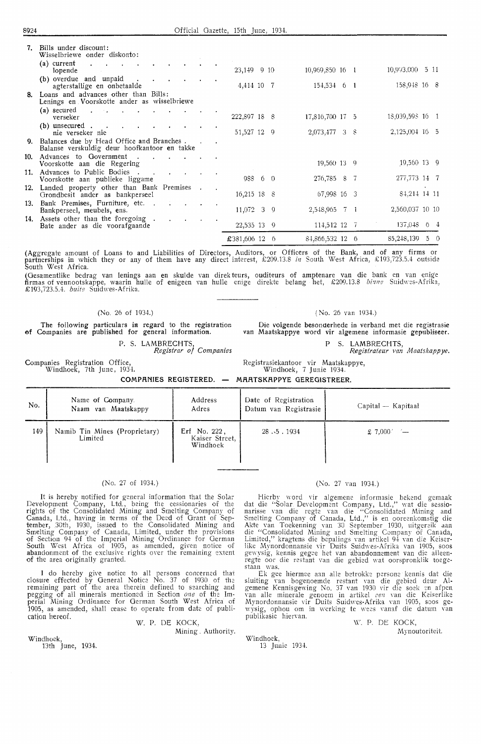| 7.  | Bills under discount:<br>Wisselbriewe onder diskonto:                                        |  |               |  |                 |  |                  |  |
|-----|----------------------------------------------------------------------------------------------|--|---------------|--|-----------------|--|------------------|--|
|     | (a) current<br>$\sim$ $\sim$<br>lopende                                                      |  | 23,149 9 10   |  | 10,969,850 16 1 |  | 10,993,000 5 11  |  |
|     | (b) overdue and unpaid<br>agterstallige en onbetaalde                                        |  | 4,414 10 7    |  | $154,534$ 6 1   |  | 158,948 16 8     |  |
|     | 8. Loans and advances other than Bills:<br>Lenings en Voorskotte ander as wisselbriewe       |  |               |  |                 |  |                  |  |
|     | (a) secured<br>$\sim$<br>verseker                                                            |  | 222,897 18 8  |  | 17,816,700 17 5 |  | 18,039,598 16 1  |  |
|     | (b) unsecured $\blacksquare$<br>nie verseker nie                                             |  | 51,527 12 9   |  | 2,073,477 3 8   |  | $2,125,004$ 16 5 |  |
|     | 9. Balances due by Head Office and Branches.<br>Balanse verskuldig deur hoofkantoor en takke |  |               |  |                 |  |                  |  |
| 10. | Advances to Government.<br>Voorskotte aan die Regering                                       |  |               |  | 19,560 13 9     |  | 19,560 13 9      |  |
| 11. | Advances to Public Bodies.<br>$\sim 10$<br>Voorskotte aan publieke liggame                   |  | 988 6 0       |  | 276,785 8 7     |  | 277,773 14 7     |  |
| 12. | Landed property other than Bank Premises<br>Grondbesit ander as bankperseel                  |  | $16,215$ 18 8 |  | 67,998 16 3     |  | 84,214 14 11     |  |
| 13. | Bank Premises, Furniture, etc. .<br>Bankperseel, meubels, ens.                               |  | $11,072$ 3 9  |  | 2,548,965 7 1   |  | 2,560,037 10 10  |  |
| 14. | Assets other than the foregoing.<br>Bate ander as die voorafgaande                           |  | 22,535 13 9   |  | 114,512 12 7    |  | $137,048$ 6 4    |  |
|     |                                                                                              |  | £381,606 12 6 |  | 84,866,532 12 6 |  | 85,248,139 5 0   |  |

(Aggregate amount of Loans to and Liabilities of Directors, Auditors, or Officers of the Bank, and of any firms or<br>partnerships in which they or any of them have any direct interest, £209.13.8 *in* South West Africa, £193, South West Africa.

(Gesamentlike bedrag van !enings aan en skulde van direk teurs, ouditeurs of amptenare van die bank en van enige firmas of vennootskappe, waarin hulle of enigeen van hulle enige direkte belang het, £209.13.8 *binne* Suidwes-Afrika, £193,723.5.4. buite Suidwes-Afrika.

#### (No. 26 of 1934.)

The following particulars in regard to the registration ef Companies are published for general information.

Companies Registration Office, Windhoek, 7th June, 193+.

P. S. LAMBRECHTS *Registrar of Companies*  ( No. 26 van 193+.)

Die volgende besonderhede in verband met die registrasie *van* Maatskappye word vir algemene informasie gepubliseer.

P S. LAMBRECHTS,

Registrateur van b1aatskapp *ye.* 

Registrasiekantoor vir Maatskappye, Windhoek, 7 Junie 1934.

**COMP.A.NIES** REGISTERED. **M.A..A.TSKRPPYE GEREGISTREER.** 

| No. | Name of Company.<br>Naam van Maatskappy  | Address<br>Adres                           | Date of Registration<br>Datum van Registrasie | Capital — Kapitaal |
|-----|------------------------------------------|--------------------------------------------|-----------------------------------------------|--------------------|
| 149 | Namib Tin Mines (Proprietary)<br>Limited | Erf No. 222,<br>Kaiser Street,<br>Windhoek | 28.5.1934                                     | \$7,000'           |

#### (No. 27 of 1934.)

It is hereby notified for general information that the Solar Development Company, Ltd., being the cessionaries of the rights of the Consolidated Mining and Smelting Company of Canada, Ltd., having in terms of the Deed of Grant of September, 3oth, 1930, issued to the Consolidated Mining and Smelting Company of Canada, Limited, under the provisions of Section 94 of the Imperial Mining Ordinance for German South West Africa of 1905, as amended, given notice of abandonment of the exclusive rights over the remaining extent of the area originally granted.

I do hereby give notice to all persons concerned that closure effected by General Notice No. 37 of 1930 of the remaining part of the area therein defined to searching and pegging of all minerals mentioned in Section *one* of the Im• perial Mining Ordinance for German South West Africa of 1905, as amended, shall cease to operate from date of publication hereof.

W. P. DE KOCK, Mining . Authority.

Windhoek, 13th June, 1934.

#### (No. 27 van 1934.)

Hierby word vir algemene informasie bekend gemaak dat die "Solar Development Company, Ltd.," wat die sessio-<br>narisse van die regte van die "Consolidated Mining and<br>Smelting Company of Canada, Ltd.," is en ooreenkomstig die Alde van Toekenning van 30 September 1930, uitgereik aan die ''Consoiidated Mining and Smelting Company of Canada, Limited," kragtens die bepalings van artikel 94 van d;e Keiserlike Mynordonnansie vir Duits Suidwes-Afrika van 1905, soos gewysig, kennis gegee het van abandonnement van die alleenregte oor die restant van die gebied wat oorspronklik toege-

staan was. Ek gee Mermee aan alle betrokke person:: kennis dat die sluiting van bogenoemde restant van die gebied deur Algemene Kennisgewing No. 37 van 1930 vir die soek en afpen<br>van alle minerale genoem in artikel *een* van die Keiserlike Mynordonnansie vir Duits Suidwes-Afrika van 1905, soos gewysig, ophou om in werking te wees vanaf die datum van publikasie hiervan.

Windhoek, 13 Junie 193+. \\'. P. DE KOCK, Mynoutoriteit.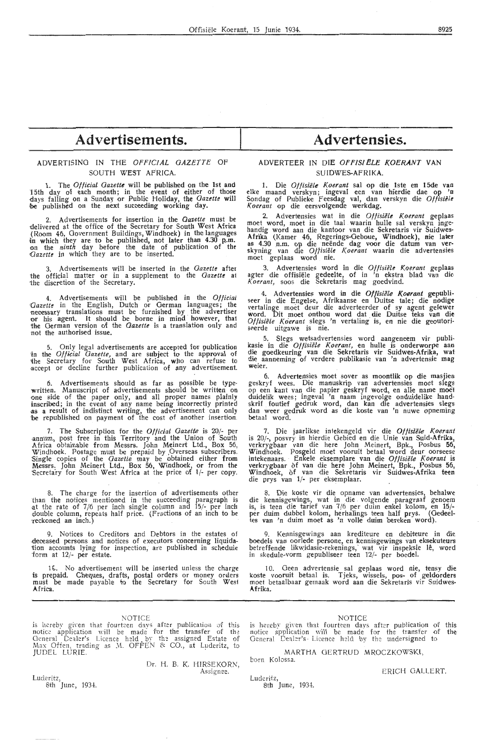## **Advertisements.**

#### ADVERTISING IN THE *OFFICIAL GAZETTE* OF SOUTH WEST AFRICA.

1. The *Otficial Gazette* will be published on the 1st and 15th day of each month; in the event of either of those days falling on a Sunday or Public Holiday, the *Gazette* will be published on the next succeeding working day.

2. Advertisements for insertion in the *Gazette* must be delivered at the office of the Secretary for South West Africa delivered at the office of the Secretary for South West Africa (Room 46, Government Buildings, Windhoek) in the languages in which they are to be published, not later than 4.30 **p.m.**  on the *ninth* day before the date of publication of the *(]azette* in which they are *to* be inserted.

3. Advertisements will be inserted in the *Gazette* after the official matter or in a supplement to the *Gazette* ai the discretion of the Secretary.

4. Advertisements will be published in the *Official* Gazette in the English, Dutch or German languages; the necessary translations must be furnished by the advertiser or his agent. It should be borne in mind however, that 1he German version of the *Gazette* is a translation only and not the authorised issue.

5. Only legal advertisements are accepted for publication 'in the *0/ffrial Gazette,* and are subject to the approval of the Secretary for South West Africa, who can refuse to -accept or decline further publication of any advertisement.

6. Advertisements should as far as possible be typewritten. Manuscript of advertisements should be written on<br>one side of the paper only, and all proper names plainly inscribed; in the event of any name being incorrectly printed<br>as a result of indistinct writing, the advertisement can only be republished on payment of the cost of another insertion.

7. The Subscription for the *Official Gazette* is 20/- per -annum, post free in this Territory and the Union of South Africa obtainabie from Messrs. John Meinert Ltd., Box 56, Windhoek. Postage must be prepaid by ,Overseas subscribers. Single copies of the *Gazette* may be obtained either from Messrs. John Meinert Ltd., Box 56, Windhoek, or from the 'Secreta·ry for South West Africa at the price of 1/- per copy.

8. The charge for the insertion of advertisements other than the notices mentioned in the succeeding paragraph is at the rate of 7/6 per inch single column and 15/- per inch double column, repeats half price. (Fractions of an inch to be 'reckoned an inch.)

9. Notices to Creditors and Debtors in the estates of -deceased persons and notices of executors concerning liquidation accounts lying for inspection, are published in scheduie form at 12/- per estate.

16. No advertisement will be inserted unless the charge is prepaid. Cheques, drafts, postal orders or money orders must be made payable to the Secretary for South Wesi **Africa.** 

#### NOTICE

is hereby given that fourteen days after publication of this<br>notice application will be made for the transfer of the<br>General Dealer's Licence held by the assigned Estate of Max Offen, trading as .M. OFFEN & CO., at Luderitz, to<br>JUDEL LURIE.

Dr. H. B. K. HIRSEKORN,<br>Assignee.

**Advertensies.** 

#### ADVERTEER IN DIE **OFFIS!ELE KOERANT VAN SUIDWES-AFRIKA.**

1. Die Offisiële Koerant sal op die 1ste en 15de van elke maand verskyn; ingeval een van hierdie dae op 'n Sondag of Publieke Feesdag val, dan verskyn die *Otfisielr. Koerant* op die eersvolgende werkdag.

2. Advertensies wat in die *Otfisiele Koerant* geplaas rnoet word, moet in die taal waarin hulle sal verskyn ingehandig word aan die kantoor van die £ekretaris vir Suidwes-Afrika (Kamer 46, Regerings-Oeboue, Windhoek), nie later<br>as 4.30 n.m. op die neënde dag voor die datum van verskyning van die *Otfisiele* /( *oerant* waarin die advertensies rnoet geplaas word nie.

3. Advertensies word in die *Otfisiele Koerant* geplaas agter die offisiële gedeelte, of in 'n ekstra blad van die Koerant, soos die Sekretaris mag goedvind.

4. Advertensies word in die *Otfisiele Koerant* gepubli- seer in die Engelse, Afrikaanse en Duitse tale; die nodigc vertalinge moet deur die adverteerder of sy agent gelewer word. Dit moet onthou word dat die Duitse teks van die Offisiële Koerant slegs 'n vertaling is, en nie die geoutoriseerde uitgawe is nie.

5. Slegs wetsadvertensies word aangeneem vir publi-<br>kasie in die *Offisiële Koerant,* en hulle is onderworpe aan<br>die goedkeuring van die Sekretaris vir Suidwes-Afrika, wat die aanneming of verdere publikasie van 'n advertensie mag **weier.** 

6. Advertensies moet sever as moontlik op die masjien geskryf wees. Die manuskrip van advertensies moet skgs op een kant van die papier geskryf word, en alle name moet duidelik wees; ingeval 'n naam ingevolge onduidelike handskrif foutief gedruk word, dan kan die advertensies slegs dan weer gedruk word as die koste van 'n nuwe opneming betaal word.

7. Die jaarlikse intekengeld vir die *Otfisiek Koerant*  is 20/-, posvry in hierdie Gebied en die Unie van **Suid-Afrika,**  verkrygbaar van die here John Meinert, Bpk., Posbus **56,**  Windhoek. Posgeld moet vooruit betaal word deur oorseese intekenaars. · Enkele eksemplare van die *Otfisiek Koerant* is verkrygbaar of van die here John Meinert, Bpk., Posbus 56, Windhoek, of van die Sekretaris vir Suidwes-Afrika teen die prys van **1/-** per eksemplaar.

8. Die koste vir die opname van advertensies, behalwe die kennisgewings, wat in die volgende paragraaf genoem is, is teen die tarief van 7 /6 per duim ertkel kolom, en **15/** per duim dubbel kolom, herhalings teen half prys. (Gedeeltes van 'n duim moet as 'n volle duim bereken word).

9. Kennisgewings aan krediteure en debiteure in die boedels van oorlede persone, en kennisgewings van eksekuteurs betreffende likwidasie-rekenings, wat vir inspeksie lê, word in skedule-vorm gepubliseer teen 12/- per boedel.

10. Geen advertensie sal geplaas word nie, tensy die koste vooruit betaal is. Tjeks, wissels, pos- of geldorders moet betaalbaar gemaak word aan die Sekretaris vir Suidwes-**A.frika.** 

NOTICE

is hereby given that fourteen days after publication of this<br>notice application will be made for the transfer of the General Dealer's Licence held by the undersigned to

MARTHA GERTRUD MROCZKOWSKI, born Kolossa.

Luderitz, 8t**h J**une, 1934.

#### ERICH GALLERT.

Luderitz, 8th June, 1934.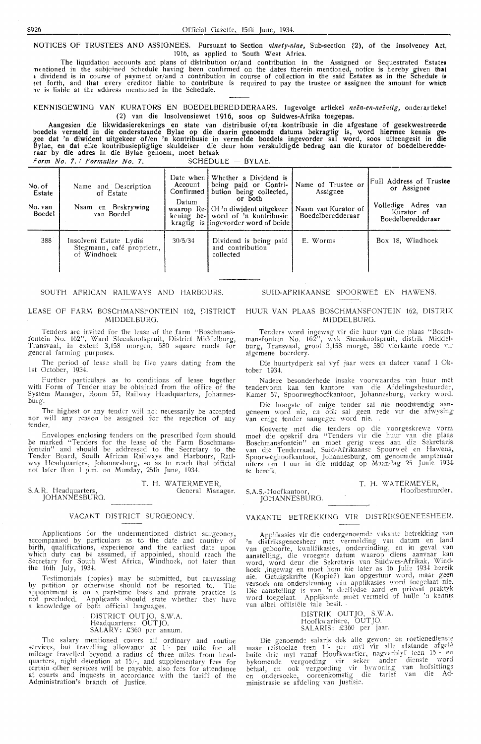NOTICES OF TRUSTEES AND ASSIGNEES. Pursuant to Section *ninety-nine,* Sub-section ~2), of the Insolvency Act, 1916, as applied to South West Africa.

The liquidatiou accounts and plans of dfstribution or/and contribution in the Assigned or Sequestrated Estate• mentioned in the subjcined Schedule having been confirmed on the dates therein mentioned, notice is hereby given **that**   $\,$  dividend is in course of payment or/and a contribution in course of collection in the said Estates as in the Schedule is thet forth, and that every creditor liable to contribute is required to pay the trustee or assignee the amount for which he is liable at the address mentioned in the Schedule.

KENNISGEWING VAN KURATORS EN BOEDELBEREDDERAARS. Ingevolge artiekel neën-en-neëntig, onderartiekel (2) van die Insolvensiewet 1916, soos op Suidwes-Afrika toegepas.

Aangesien die likwidasierekenings en state van distribusie of/en kontribusie in die afgestane of gesekwestreerde t>oedels vermeld in die onderstaande Bylae op die daarin genoemde datums bekragtig is, word **hiermee** kennis **ge**gee dat 'n diwident uitgekeer of/en 'n kontribusie in verm elde boedels ingevorder sal word, soos uiteengesit in **die**  Bylae, en dat elke kontribusiepligtige skuldeiser die deur hom verskuldigde bedrag aan die kurator of boedelberedde-<br>raar by die adres in die Bylae genoem, moet betaal.  $Form No. 7. / Formulier No. 7.$  SCHEDULE - BYLAE.

| No. of<br>Estate<br>No. van<br>Boedel | Name and Description<br>of Estate<br>Naam en Beskrywing<br>van Boedel | Account<br>Confirmed I<br>Datum | Date when Whether a Dividend is<br>being paid or Contri-<br>bution being collected,<br>or both<br>waarop Re-1 Of 'n diwident uitgekeer<br>kening be-1 word of 'n kontribusie<br>kragtig is lingevorder word of beide | Name of Trustee or<br>Assignee<br>Naam van Kurator of<br>Boedelberedderaar | Full Address of Trustee<br>or Assignee<br>Volledige Adres van<br>Kurator of<br>Boedelberedderaar |
|---------------------------------------|-----------------------------------------------------------------------|---------------------------------|----------------------------------------------------------------------------------------------------------------------------------------------------------------------------------------------------------------------|----------------------------------------------------------------------------|--------------------------------------------------------------------------------------------------|
| 388                                   | Insolvent Estate Lydia<br>Stegmann, café proprietr.,<br>of Windhock   | 30/5/34                         | Dividend is being paid<br>and contribution<br>collected                                                                                                                                                              | E. Worms                                                                   | Box 18. Windhoek                                                                                 |

#### SOUTH AFRICAN RAILWAYS AND HARBOURS.

#### LEASE OF FARM BOSCHMANSFONTEIN 162, DISTRICT MIDDELBURG.

Tenders are invited for the lease of the farm "Boschmansfontein No. 162", Ward Steenkoolspruit, District Middelburg, Transvaal, in extent 3,158 morgen, 580 square roods for general farming purposes.

The period of lease shall be five years dating from the 1st October, 1934.

Further particulars as to conditions of lease together with Form of Tender may be obtained from the office of the System Manager, Room 57, Railway Headquarters, Johannesburg.

The highest or any tender will not necessarily be accepted nor will any reasoa be assigned for the rejection of any tender.

Envelopes enclosing tenders on the prescribed form should<br>be marked "Tenders for the lease of the Farm Boschmansbe marked "Tenders for the lease of the Farm Boschmansfontein" and should be addressed to the Secretary to the Tender Board, South African Railways and Harbours, Railway Headquarters, Johannesburg, so as to reach that official not lakr than 1 p.m. on Monday, 25th June, 1934.

S.A.R. Headquarters, JOHANNESBURG. T. H. WATERMEYER, General Manager.

#### VACANT DISTRICT SURGEONCY.

Applications for the undermentioned district surgeoncy accompanied by particulars as to the date and country of birth, qualifications, experience and the earliest date upon which duty can be assumed, if appointed, should reach the Secretary for South West Africa, Windhoek, not later than the 16th July, 1934.

Testimonials (copies) may be submitted, but canvassing by petition or otherwise should not be resorted to. The appointment is on a part-time basis and private practice is not precluded. Applicants should state whether they have<br>a knowledge of both official languages.

> DISTRICT OUTJO, S.W.A. Headquarters: OUT JO. SALARY: £360 per annum.

The salary mentioned covers all ordinary and routine services, but travelling allowance at 1 - per mile for all mileage travelled beyond a radius of three miles from headquarters, night detention at 15/-, and supplementary fees for certain other services will be payable, also fees for attendance at courts and inquests in accordance with the tariff of the Administration's branch of Justice.

#### SUID-AFRIKAANSE SPOORWEË EN HAWENS.

#### HUUR VAN PLAAS BOSCHMANSFONTEIN 162, DISTRIK MlDDELBURG.

Tenders word ingewag vir die huur van die plaas "Boschmansfontein No. 162'', wyk Steenkoolspruit, distrik Middel-<br>burg, Transvaal, groot 3,158 morge, 580 vierkante roede vir algemene boerdery.

Die huurtydperk sal vyf jaar wees en dateer vanaf 1 Oktober 1934.

Nadere besonderhede insake voorwaardes van huur met tendervorm kan ten kantore van die Afdelingsbestuurder, Kamer 57, Spoorweghoofkantoor, Johannesburg, verkry word.

Die hoogste of enige tender sal nie noodwendig aangeneem word nie, en ook sal geen rede vir die afwysing van enige tender aangegee word nie.

Koeverte met die tenders op die voorgeskrewe vorm moet die opskrif dra "Tenders vir die huur van die plaas Boschmansfontein" en moet gerig wees aan die Sekretaris<br>van die Tenderraad, Suid-Afrikaanse Spoorweë en Hawens, Spoorweghoofkantoor, Johannesburg, om genoernde amptenaar uiters om 1 uur in die middag op Maandag 25 Junie 1934 te bereik.

S.A.S.-Hoofkantoor, JOHANNESBURG. T. H. WATERMEYER, Hoofbestuurder.

#### VAKANTE BETREKK!NO VIR DISTRIKSOENEESHEER.

Applikasies vir die ondergenoemde vakante betrekking van 'n distriksgeneesheer met vermelding van datum en land<br>van geboorte, kwalifikasies, ondervinding, en in geval yan aanstelling, die vroegste datum waarop diens aanvaar kan word, word deur die Sekretaris van Suidwes-Afrikak, Windhoek ',ingewag en moet ham hie later as 16 Julie 1934 bereik nie. Getuigskrifte (Kopieë) kan opgestuur word, maar geen versoek om ondersteuning van applikasies word toegelaat nie.<br>Die aanstelling is van 'n deeltydse aard en privaat praktyk word toegelaat. Applikante moet vermeld of hulle 'n kennis van albei offisiele tale besit.

DISTRIK OUT JO, S.W.A. Hoofkwartiere, OUT JO. Hoofkwartiere, OUTJO.<br>SALARIS: £360 per jaar.

Die genoemde salaris dek alle gewone en roetienedienste<br>maar reistoelae teen 1 - per myl vir alle afstande afgelê buite drie myl vanaf Hoofkwartier, nagverblyf teen 15. en bykomende vergoeding vir seker ander dienste word<br>betaal, en ook vergoeding vir bywoning van hofsittings en ondersoeke, ooreenkomstig die tarief van die **Ad**ministrasie se afdeling van Justisie.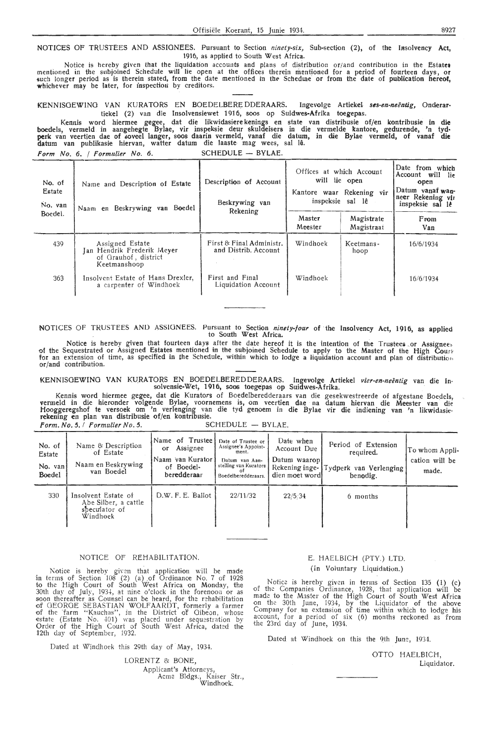NOTICES OF TRUSTEES AND ASSIGNEES. Pursuant to Section *ninety-six,* Sub-section (2), of the Iasolvency **Act,**  1916, as applied to South West Africa.

Notice is hereby given that the liquidation accounts and plans of distribution or/and contribution in the Estate• mentioned in the subjoined Schedule will lie open at the offices therein mentioned for a period of fourteen days, or<br>such longer period as is therein stated, from the date mentioned in the Schedure or from the date of publ whichever may be later, for inspection by creditors.

KENNISOEWINO VAN KURATORS EN BOEDELBERE DDERAARS. Ingevolge Artiekel *ses-en-neentig,* Onderar• tiekel (2) van die Insolvensiewet 1916, soos op Suidwes-Afrika toegepas.

Kennis word hiermee gegee, dat die Iikwidasiere kenings en state van distribusie of/en kontribusie in die boedels, vermeld in aangehegte Bylae, vir inspeksie deur skuldeisers in die vermelde kantore, gedurende, 'n tyd• **perk** van veertien dae of ,;oveel !anger, soos daarin vermeld, vanaf die datum, in die Bylae vermeld, of vanaf **die**  datum van publikasie hiervan, watter datum die laaste- mag wees, sal Ia. *Form No. 6. / Formulier No. 6.* SCHEDULE - BYLAE.

| No. of<br>Estate<br>No. van | Name and Description of Estate<br>Naam en Beskrywing van Boedel                       | Description of Account<br>Beskrywing van<br>Rekening | Offices at which Account<br>will lie open<br>Kantore waar Rekening vir<br>inspeksie sal lê |                          | Date from which<br>Account will<br>- lie<br>open<br>Datum yanaf wan-<br>neer Rekening vir<br>inspeksie sal lê |
|-----------------------------|---------------------------------------------------------------------------------------|------------------------------------------------------|--------------------------------------------------------------------------------------------|--------------------------|---------------------------------------------------------------------------------------------------------------|
| Boedel.                     |                                                                                       |                                                      | Master<br>Meester                                                                          | Magistrate<br>Magistraat | From<br>Van                                                                                                   |
| 439                         | Assigned Estate<br>Jan Hendrik Frederik Meyer<br>of Grauhof, district<br>Keetmanshoop | First & Final Administr.<br>and Distrib. Account     | Windhoek                                                                                   | Keetmans-<br>hoop        | 16/6/1934                                                                                                     |
| 363                         | Insolvent Estate of Hans Drexler,<br>a carpenter of Windhoek                          | First and Final<br>Liquidation Account               | Windhoek                                                                                   |                          | 16/6/1934                                                                                                     |

NOTICES OF TRUSTEES AND ASSIGNEES. Pursuant to Section *ninety-four* of the Insolvency Act, 1916, as applied to South West Africa.

Notice is hereby given that fourteen days after the date hereof it is the intention of the Trustees or Assignees of the Sequestrated or Assigned Estates mentioned in the subjoined Schedule to apply to the Master of the High Court; for an extension of time, as specified in the Schedule, within which to lodge a liquidation account and plan of distribution.<br>or/and contribution.

KENNISGEWING VAN KURATORS EN BOEDELBEREDDERAARS. Ingevolge Artiekel *vier-en-neëntig* van die In-<br>solvensie-Wet, 1916, soos toegepas op Suidwes-Afrika.

Kennis word hiermee gegee, dat die Kurators of Boedelberedderaars van die gesekwestreerde of afgestane Boedels,<br>vermeld in die hieronder volgende Bylae, voornemens is, om veertien dae na datum hiervan die Meester van die<br>H rekening en plan van distribusie of/en kontribusie. *Form. No. 5. I Formulier No. 5.* 

| <b>SCHEDULE</b> | $-$ BYLAE. |
|-----------------|------------|
|                 |            |

| No. of<br>Estate<br>No. van<br><b>Boedel</b> | Name & Description<br>of Estate<br>Naam en Beskrywing<br>van Boedel      | Name of Trustee l<br>Assignee<br>$\alpha$<br>Naam 'van Kurator'<br>of Boedel-<br>beredderaar | Date of Trustee or<br>Assignee's Appoint-<br>ment.<br>Datum van Aan-<br>stelling van Kurators<br>റ†<br>Boedelberedderaars. | Date when<br>Account Due<br>Datum waaropi<br>Rekening inge-<br>dien moet word! | Period of Extension<br>required.<br>Tydperk van Verlenging<br>benodig. | To whom Appli-<br>cation will be<br>made. |
|----------------------------------------------|--------------------------------------------------------------------------|----------------------------------------------------------------------------------------------|----------------------------------------------------------------------------------------------------------------------------|--------------------------------------------------------------------------------|------------------------------------------------------------------------|-------------------------------------------|
| 330                                          | Insolvent Estate of<br>Abe Silber, a cattle<br>sheculator of<br>Windhoek | D.W. F. E. Ballot                                                                            | 22/11/32                                                                                                                   | 22/5.34                                                                        | 6 months                                                               |                                           |

#### NOTICE OF REHABILITATION.

Notice is hereby given that application will be made in terms of Section  $108$  (2) (a) of Ordinance No. 7 of 1928 to the High Court of South West Africa on Monday, the 30th day of July, 1934, at nine o'clock in the forenoon or as soon thereafter as Counsel can be heard, for the rehabilitation of GEORGE SEBASTIAN WOLFAARDT, formerly a farmer of the 'farm "Kauchas", in the District of Gibeon, whose estate (Estate No.  $401$ ) was placed under sequestration by Order of the High Court of South West Africa, dated the 12th day of September, 1932.

Dated at Windhoek this 29th day of May, 1934.

LORENTZ & BONE, Applicant's Attorneys, Acme Bldgs., Kaiser Str., Windhoek.

#### E. HAELBICH (PTY.) LTD. (In Voluntary Liquidation.)

Notice is hereby given in terms of Section 135 (1) (c) of the Companies Ordinance, 1928, that application will be made to the Master of the High Court of South West Africa on the 30th June, 1934, by the Liquidator of the above Company for an extension of time within which to lodge his account, for a period of six (6) months reckoned as from the 23rd day of June, 1934.

Dated at Windhoek on this the 9th June, 1934.

OTTO HAELBICH, Liquidator.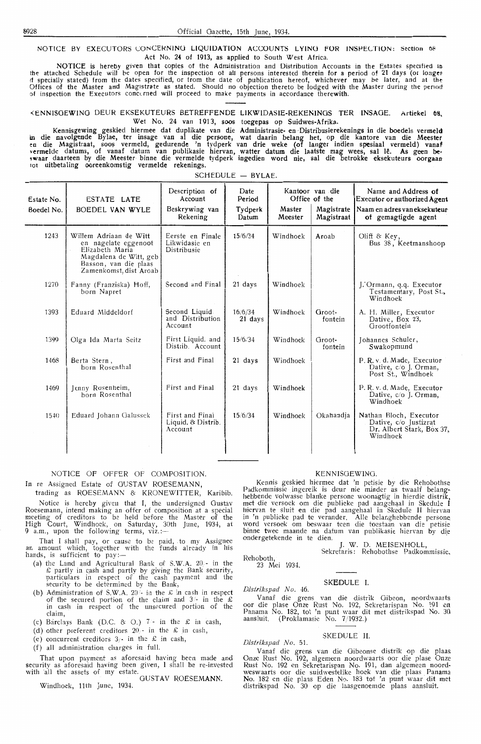NOTICE BY EXECUTORS CONCERNING LIQUIDATION ACCOUNTS LYING FOR INSPECTION: Section 68 Act No. 24 of 1913, as applied to South West Africa.

NOTICE is hereby given that copies of the Adn.inistration and Distribution Accounts in the Estates specified <sup>10</sup> the attached Schedule will be open for the inspection ot all persons interested therein for a period of 21 days (or longet 11 specially stated) from the dates specified, or from the date of publication hereof, whichever may be later, and at tht-Offices of the Master and Magistrate as stated. Should no objection thereto be lodged with the Master during the penoct of inspection the Executors concuned will proceed to make payments in accordance therewith.

<ENN15OEWING DEUR EKSEKUTEURS BETREFFENDE LIKWIDASIE-REKENINGS TER INSAOE. Artiekel **OS,**  Wet No. 24 van 1913, soos toegepas op Suidwes-Afrika.

Kennisgewing geskied hiermee dat duplikate van die Administrasie- en -Distribusierekenings in die boedels vermeld m die navolgende Bylae, ter insage van al die persone, wat daarin belang het, op die kantore van die Meester<br>en die Magistraat, soos vermeld, gedurende 'n tydperk van drie weke (of langer indien spesiaal vermeld) vanaf vcrmelde datums, of vanaf datum van publikasie hiervan, watter datum die laatste mag wees, sat I~. As geen **be· !Waar** daarteen by die Meester· binne die vermelde tydperk ingedien word nie, sal die betrokke eksekuteurs oorgaao tot uitbetaling ooreenkomstig vermelde rekenings.

| Estate No.<br>Boedel No. | ESTATE LATE<br>BOEDEL VAN WYLE                                                                                                                 | Description of<br>Account<br>Beskrywing van<br>Rekening | Date<br>Period<br>Tydperk<br>Datum | Master<br>Meester | Kantoor van die<br>Office of the<br>Magistrate<br>Magistraat | Name and Address of<br>Executor or authorized Agent<br>Naam en adres van eksekuteur<br>of gemagtigde agent |
|--------------------------|------------------------------------------------------------------------------------------------------------------------------------------------|---------------------------------------------------------|------------------------------------|-------------------|--------------------------------------------------------------|------------------------------------------------------------------------------------------------------------|
| 1243                     | Willem Adriaan de Witt<br>en nagelate eggenoot<br>Elizabeth Maria<br>Magdalena de Witt, geb<br>Basson, van die plaas<br>Zamenkomst, dist Aroab | Eerste en Finale<br>Likwidasie en<br>Distribusie        | 15/6/34                            | Windhoek          | Aroab                                                        | Oliff $&$ Key,<br>Bus 38, Keetmanshoop                                                                     |
| 1270                     | Fanny (Franziska) Hoff,<br>born Napret                                                                                                         | Second and Final                                        | 21 days                            | Windhoek          |                                                              | J. Ormann, q.q. Executor<br>Testamentary, Post St.,<br>Windhoek                                            |
| 1393                     | Eduard Middeldorf                                                                                                                              | Second Liquid.<br>and Distribution<br>Account           | 16/6/34<br>21 days                 | Windhoek          | Groot-<br>fontein                                            | A. H. Miller, Executor<br>Dative, Box 23,<br>Grootfontein                                                  |
| 1399                     | Olga Ida Marta Seitz                                                                                                                           | First Liquid. and<br>Distrib. Account                   | 15/6/34                            | Windhoek          | Groot-<br>fontein                                            | Johannes Schuler,<br>Swakopmund                                                                            |
| 1468                     | Berta Stern,<br>born Rosenthal                                                                                                                 | First and Final                                         | 21 days                            | Windhoek          |                                                              | P. R. v. d. Made, Executor<br>Dative, c/o J. Orman,<br>Post St., Windhoek                                  |
| 1469                     | Jenny Rosenheim,<br>born Rosenthal                                                                                                             | First and Final                                         | 21 days                            | Windhoek          |                                                              | P. R. v. d. Made, Executor<br>Dative, c/o J. Orman,<br>Windhoek                                            |
| 1540                     | Eduard Johann Galussek                                                                                                                         | First and Final<br>Liquid, & Distrib.<br>Account        | 15/6/34                            | Windhoek          | Okahandja                                                    | Nathan Bloch, Executor<br>Dative, c/o Justizrat<br>Dr. Albert Stark, Box 37,<br>Windhoek                   |

#### $SCHFDULE - BYLAE$ .

#### NOTICE OF OFFER OF COMPOSITION

In re Assigned Estate of GUSTAV ROESEMANN,

trading as ROESEMANN & KRONEWITTER, Karibib Notice is hereby given that I, the undersigned Gustav Roesemann, intend making an offer of composition at a special meeting of creditors to be held before the Master of the High Court, Windhoek, on Saturday, 30th June, 1934, at 9 a.m., upon the following terms, viz.:

That I shall pay, or cause to be paid, to my Assignee an amount which, together with the funds already in his hands, is sufficient to pay:-

- (a) the Land and Agricultural Bank of S.W.A. 20.- in the  $\pounds$  partly in cash and partly by giving the Bank security, particulars in respect of the cash payment and the security to be determined by the Bank,
- (b) Administration of S.W.A. 20<sup> $\lambda$ </sup> in the  $\mathcal L$  in cash in respectively of the secured portion of the claim and  $3/$ - in the £ in cash in respect of the unsecured portion of the claim,
- (c) Barclays Bank (D.C. & O.)  $7 -$  in the  $\mathcal L$  in cash
- (d) other preferent creditors  $20 \text{in}$  the £ in cash

(e) concurrent creditors  $3/$ - in the  $\mathcal{L}$  in cash

(f) all administration charges in full

That upon payment as aforesaid having been made and security as aforesaid having been given, I shall be re-invested with all the assets of my estate

GUSTAV ROESEMANN. Windhoek, 11th June, 1934.

#### KENNISGEWING.

Kennis geskied hiermee dat 'n petisie by die Rehobothse Padkommissie ingereik is deur nie minder as twaalf belanghebbende volwasse blanke persone woonagtig in hierdie distrik met die versoek om die publieke pad aangehaal in Skedule I hiervan te sluit en die pad aangehaal in Skedufe II hiervan in 'n publieke pad te verander. Alle belanghebbende persone<br>in 'n publieke pad te verander. Alle belanghebbende persone<br>word versoek om beswaar teen die toestaan van die petisie binne twee maande na datum van publikasie hiervan by di ondergetekende in te dien.

J. W. D. MEISENHOLL, Sekretaris: Rehobothse Padkommissie.

Rehoboth, 23 Mei 1934.

#### SKEDILE I

*Distrikspad No.* 46.

Vanaf die grens van die distrik Oibeon, noordwaarts oar die plase Onze Rust No. 192, Sekretarispan No. 191 en Panama No. 182, tot 'n punt waar dit met distrikspad No. 30 aansluit. (Proklamasie No. 7/1932.)

 $S$ KEDULE II *Dislrlkspad No.* 51.

#### Vanaf die grens van die Gibeonse distrik op die plaas Onze Rust No. 192, algemeen noordwaarts oor die plase Onze Rust No. 192 en Sekrciarispan No. 191, dam algemeen noordweswaarts oor die suidwestelike hoek van die plaas Panama No. 182 en die plaas Eden No. 183 tot 'n punt waar dit met distrikspad No. 30 op die laasgenoemde plaas aansluit.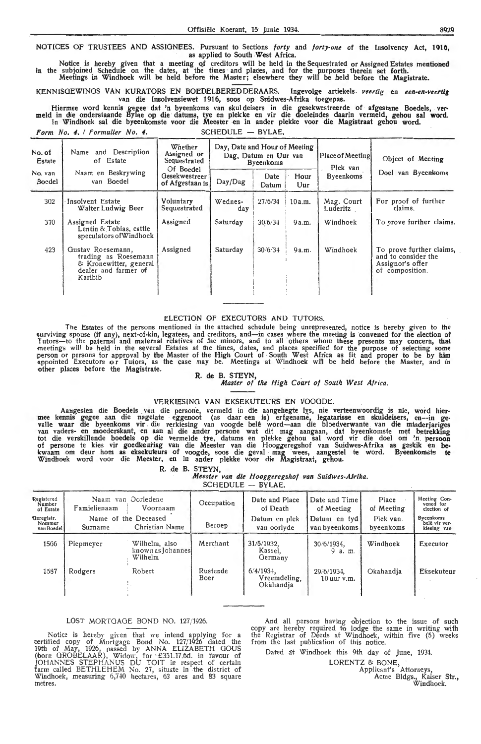NOTICES OF TRUSTEES AND ASSIGNEES. Pursuant to Sections *forty* and *forty-one* of the Insolvency Act, 1916, as applied to South West Africa.

Notice is hereby given that a meeting of creditors will be held in the Sequestrated or Assigned Estates mentioned In the subjoined Schedule on the dates, at the times and places, and for the purposes therein set forth. Meetings in Windhoek will be held before the Master; elsewhere they will be held before the Magistrate.

KENNISGEWINGS VAN KURATORS EN BOEDELBERED DERAARS. Ingevolge artiekels. *veertig* en een-en-veertig van die Insolvensiewet 1916, soos op Suidwes-Afrika toegepas.

Hiermee word kennis gegee dat 'n byeenkoms van skuldeisers in die gesekwestreerde of afgestane Boedels, vermeld in die onderstaande Bylae op die datums, tye en plekke en vir die doeleindes daarin vermeld, gehou sal word.<br>I

Form No. 4. / Formulier No. 4. SCHEDULE - BYLAE.

| No. of<br><b>Estate</b> | Name and Description<br>of Estate                                                                      | Day, Date and Hour of Meeting<br>Whether<br>Assigned or<br>Dag, Datum en Uur van<br>Sequestrated<br><b>Byeenkoms</b> |                |               | Place of Meeting<br>Plek van | Object of Meeting      |                                                                                        |
|-------------------------|--------------------------------------------------------------------------------------------------------|----------------------------------------------------------------------------------------------------------------------|----------------|---------------|------------------------------|------------------------|----------------------------------------------------------------------------------------|
| No. van<br>Boedel       | Naam en Beskrywing<br>van Boedel                                                                       | Of Boedel<br><b>Gesekwestreer</b><br>of Afgestaan is                                                                 | Day/Dag        | Date<br>Datum | Hour<br>Uur                  | Byeenkoms              | Doel van Byeenkoms                                                                     |
| 302                     | Insolvent Estate<br>Walter Ludwig Beer                                                                 | Voluntary<br>Sequestrated                                                                                            | Wednes-<br>day | 27/6/34       | 10a.m.                       | Mag. Court<br>Luderitz | For proof of further<br>claims.                                                        |
| 370                     | Assigned Estate<br>Lentin & Tobias, cattle<br>speculators of Windhoek                                  | Assigned                                                                                                             | Saturday       | 30.6/34       | 9a.m.                        | Windhoek               | To prove further claims.                                                               |
| 423                     | Gustav Roesemann,<br>trading as Roesemann<br>& Kronewitter, general<br>dealer and farmer of<br>Karibib | Assigned                                                                                                             | Saturday       | 30/6/34       | 9a.m.                        | Windhoek               | To prove further claims,<br>and to consider the<br>Assignor's offer<br>of composition. |

#### ELECTION OF EXECUTORS AND TUTORS.

The Estates of the persons mentioned in the attached schedule being unrepresented, notice is hereby given to the surviving spouse (if any), next-of-kin, legatees, and creditors, and—in cases where the meeting is convened for the election of Tutors—to the paternal and maternal relatives of the minors, and to all others whom these presents may concern, that<br>meetings will be held in the several Estates at the times, dates, and places specified for the purpose of appointed Executors or Tutors, as the case may be. Meetings at Windhoek will be held before the Master, and in other places before the Magistrate.<br>R. de B. STEYN, *Master of the High Court of South West Africa*.

#### VERKIESING VAN EKSEKUTEURS EN VOOODE.

Aangesien die Boedels van die persone, vermeld in die aangehegte lys, nie verteenwoordig is nie, word hier-<br>mee kennis gegee aan die nagelate eggenoot (as daar een is) erfgename, legatarisse en skuldeisers, en--in ge-<br>vall tot die verskillende boedels op die vermelde tye, datums en plekke gehou sal word vir die doe! om ' n. **persooo**  of persone te kies vir goedkeuring van die Meester van die Hooggeregshof van Suidwes-Afrika as geskik en bekwaam om deur hom as eksekuteurs of voogde, soos die geval mag wees, aangestel te word. Byeenkomst<del>e</del> te Windhoek word voor die Meester, en in ander plekke voor die Magistraat, gehou.

R. de B. STEYN,

*Meester van die Hooggeregshof van Suidwes-Afrika.*  $\overline{\text{S}}$ 

| $SCHEDULE - BY$ |
|-----------------|
|-----------------|

| Registered                         |              | Naam van Oorledene                            | Occupation       | Date and Place                            | Date and Time                 | Place                  | Meeting Con-<br>vened for                        |
|------------------------------------|--------------|-----------------------------------------------|------------------|-------------------------------------------|-------------------------------|------------------------|--------------------------------------------------|
| Number<br>of Estate                | Famielienaam | Voornaam                                      |                  | of Death                                  | of Meeting                    | of Meeting             | election of                                      |
| Geregistr.<br>Nommer<br>van Boedel | Surname      | Name of the Deceased<br>Christian Name        | Beroep           | Datum en plek<br>van oorlyde              | Datum en tyd<br>van byeenkoms | Plek van.<br>byeenkoms | <b>Byeenkoms</b><br>belê vir ver-<br>kiesing van |
| 1566                               | Piepmeyer    | Wilhelm, also<br>known as Johannes<br>Wilhelm | Merchant         | 31/5/1932.<br>Kassel,<br>Germany          | 30/6/1934.<br>9 a.m.          | Windhoek               | Executor                                         |
| 1587                               | Rodgers      | Robert                                        | Rustende<br>Boer | $6/4/1934$ ,<br>Vreemdeling,<br>Okahandia | 29/6/1934,<br>$10$ uur v.m.   | Okahandia              | Eksekuteur                                       |

#### LOST MORTGAGE BOND NO. 127/1926.

Notice is hereby given that we intend applying for a certified copy of Mortgage Bond No. 127/1926 dated the 19th of May, 1926, passed by ANNA ELIZABETH GOUS (horn OROBELAAR), Widow, for · £351.17.6d. in favour of JOHANNES STEPHANUS DU TOIT in respect of certain farm called BETHLEHEM No. 27, situate in the district of Windhoek, measuring 6,740 hectares, 63 ares and 83 square metres.

And all persons having objection to the issue of such copy are hereby required to lodge the same in writing with the Registrar of Déeds at Windhoek, within five (5) weeks from the last publication of this notice.

Dated a't Windhoek this 9th day of June, 1934.

LORENTZ & BONE,

Applicant's Attorneys, Acme Bldgs., Kaiser Str.,

Windhoek.